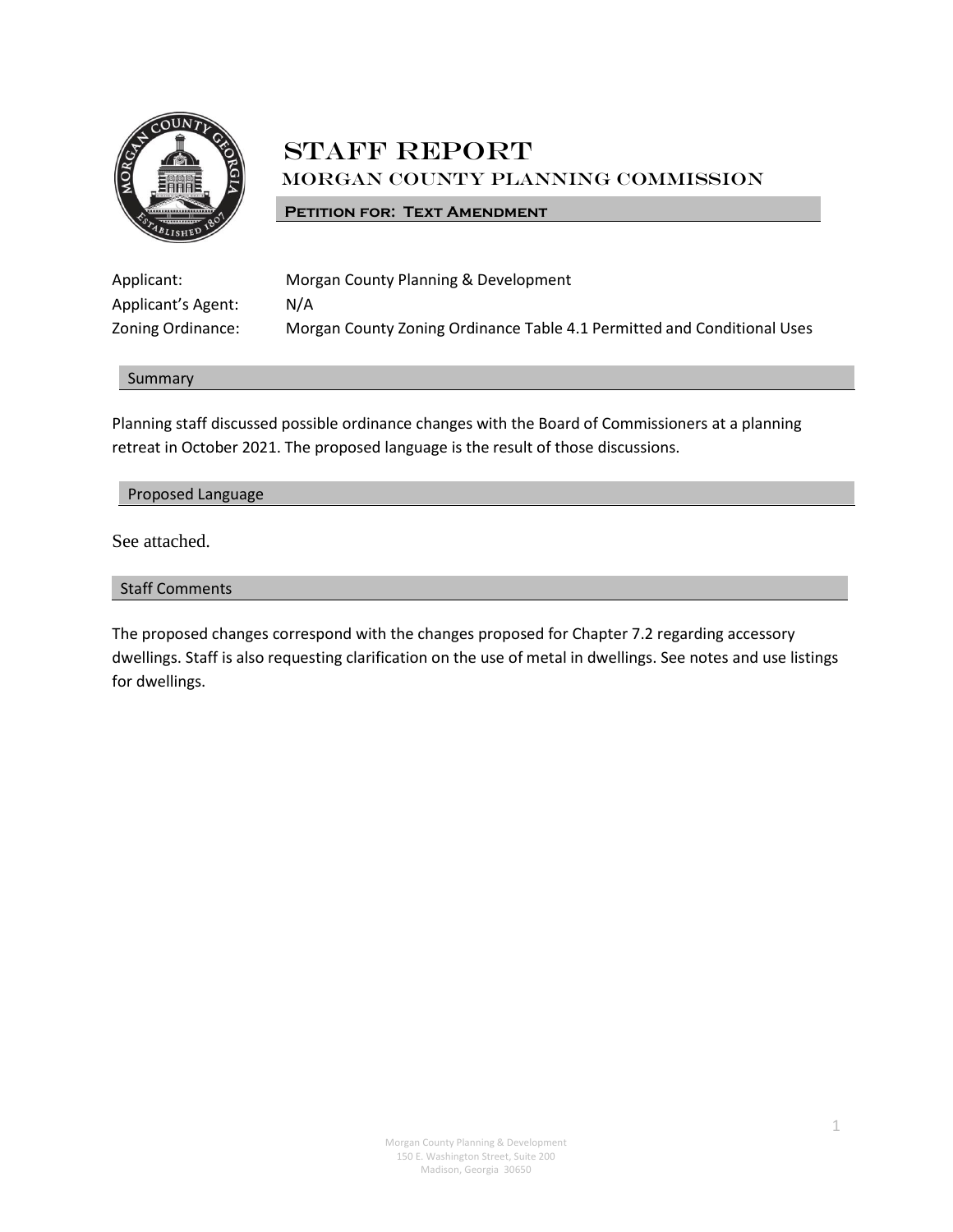

# **STAFF REPORT** Morgan County Planning Commission

## **PETITION FOR: TEXT AMENDMENT**

| Applicant:         | Morgan County Planning & Development                                    |
|--------------------|-------------------------------------------------------------------------|
| Applicant's Agent: | N/A                                                                     |
| Zoning Ordinance:  | Morgan County Zoning Ordinance Table 4.1 Permitted and Conditional Uses |

#### Summary

Planning staff discussed possible ordinance changes with the Board of Commissioners at a planning retreat in October 2021. The proposed language is the result of those discussions.

#### Proposed Language

See attached.

## Staff Comments

The proposed changes correspond with the changes proposed for Chapter 7.2 regarding accessory dwellings. Staff is also requesting clarification on the use of metal in dwellings. See notes and use listings for dwellings.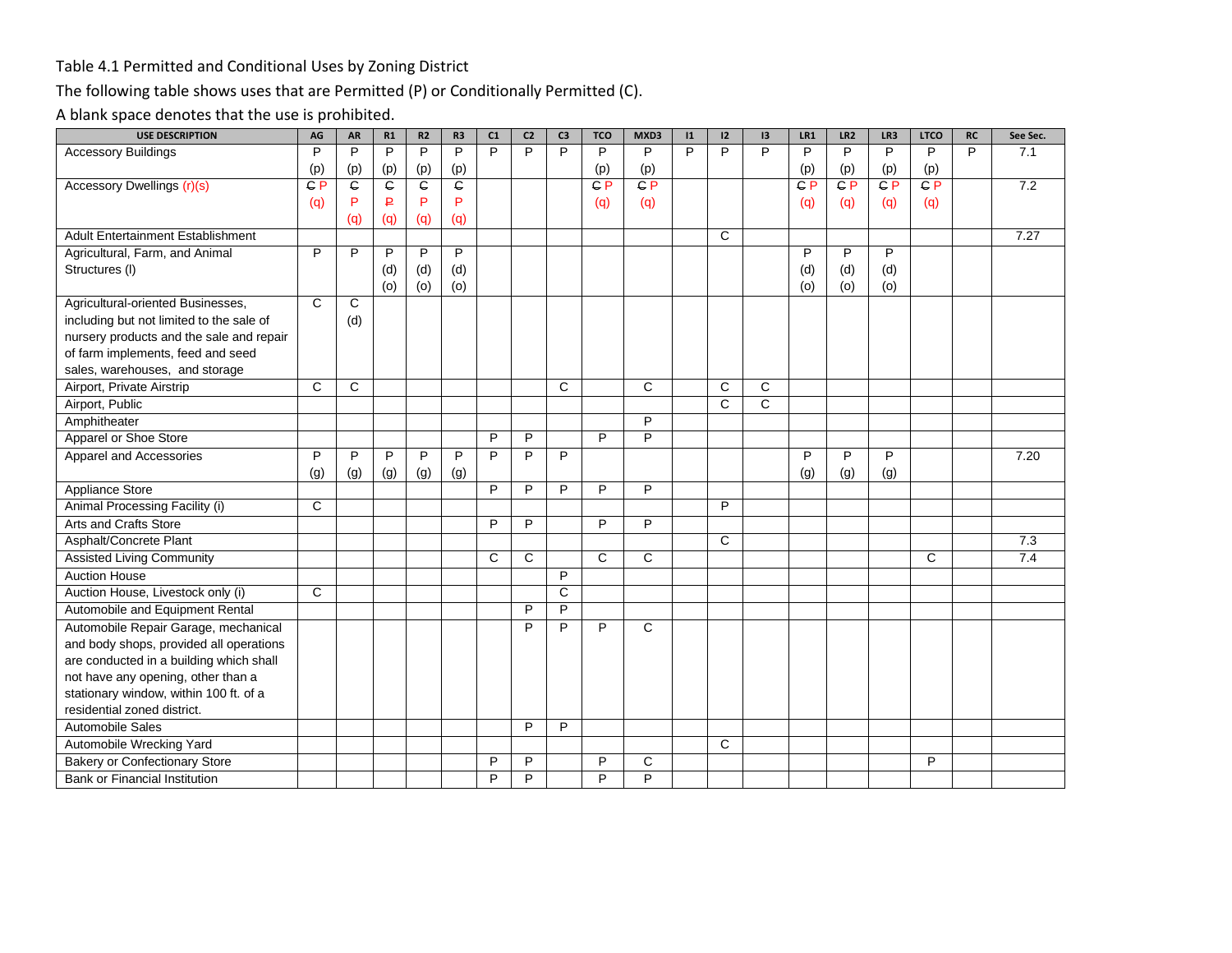## Table 4.1 Permitted and Conditional Uses by Zoning District

# The following table shows uses that are Permitted (P) or Conditionally Permitted (C).

A blank space denotes that the use is prohibited.

| <b>USE DESCRIPTION</b>                   | AG  | AR  | R1             | R2             | R <sub>3</sub> | C1             | C <sub>2</sub> | C <sub>3</sub> | <b>TCO</b>     | MXD3           | 1              | 12           | 13 | LR1     | LR <sub>2</sub> | LR3            | <b>LTCO</b> | <b>RC</b>      | See Sec. |
|------------------------------------------|-----|-----|----------------|----------------|----------------|----------------|----------------|----------------|----------------|----------------|----------------|--------------|----|---------|-----------------|----------------|-------------|----------------|----------|
| <b>Accessory Buildings</b>               | P   | P   | $\overline{P}$ | $\overline{P}$ | $\overline{P}$ | P              | $\overline{P}$ | P              | P              | P              | $\overline{P}$ | P            | P  | P       | P               | $\overline{P}$ | P           | $\overline{P}$ | 7.1      |
|                                          | (p) | (p) | (p)            | (p)            | (p)            |                |                |                | (p)            | (p)            |                |              |    | (p)     | (p)             | (p)            | (p)         |                |          |
| Accessory Dwellings (r)(s)               | CP  | ¢   | G              | C              | ¢              |                |                |                | GP             | C P            |                |              |    | $C$ $P$ | CP              | $C$ $P$        | CP          |                | 7.2      |
|                                          | (q) | P   | ₽              | P              | P              |                |                |                | (q)            | (q)            |                |              |    | (q)     | (q)             | (q)            | (q)         |                |          |
|                                          |     | (q) | (q)            | (q)            | (q)            |                |                |                |                |                |                |              |    |         |                 |                |             |                |          |
| <b>Adult Entertainment Establishment</b> |     |     |                |                |                |                |                |                |                |                |                | C            |    |         |                 |                |             |                | 7.27     |
| Agricultural, Farm, and Animal           | P   | P   | P              | P              | P              |                |                |                |                |                |                |              |    | P       | P               | P              |             |                |          |
| Structures (I)                           |     |     | (d)            | (d)            | (d)            |                |                |                |                |                |                |              |    | (d)     | (d)             | (d)            |             |                |          |
|                                          |     |     | (0)            | (0)            | (o)            |                |                |                |                |                |                |              |    | (o)     | (o)             | (0)            |             |                |          |
| Agricultural-oriented Businesses,        | C   | C   |                |                |                |                |                |                |                |                |                |              |    |         |                 |                |             |                |          |
| including but not limited to the sale of |     | (d) |                |                |                |                |                |                |                |                |                |              |    |         |                 |                |             |                |          |
| nursery products and the sale and repair |     |     |                |                |                |                |                |                |                |                |                |              |    |         |                 |                |             |                |          |
| of farm implements, feed and seed        |     |     |                |                |                |                |                |                |                |                |                |              |    |         |                 |                |             |                |          |
| sales, warehouses, and storage           |     |     |                |                |                |                |                |                |                |                |                |              |    |         |                 |                |             |                |          |
| Airport, Private Airstrip                | C   | C   |                |                |                |                |                | C              |                | C              |                | C            | C  |         |                 |                |             |                |          |
| Airport, Public                          |     |     |                |                |                |                |                |                |                |                |                | C            | C  |         |                 |                |             |                |          |
| Amphitheater                             |     |     |                |                |                |                |                |                |                | P              |                |              |    |         |                 |                |             |                |          |
| Apparel or Shoe Store                    |     |     |                |                |                | P              | P              |                | P              | P              |                |              |    |         |                 |                |             |                |          |
| Apparel and Accessories                  | P   | P   | P              | P              | P              | P              | P              | P              |                |                |                |              |    | P       | P               | P              |             |                | 7.20     |
|                                          | (g) | (g) | (g)            | (g)            | (g)            |                |                |                |                |                |                |              |    | (g)     | (g)             | (g)            |             |                |          |
| Appliance Store                          |     |     |                |                |                | P              | P              | P              | P              | P              |                |              |    |         |                 |                |             |                |          |
| Animal Processing Facility (i)           | C   |     |                |                |                |                |                |                |                |                |                | P            |    |         |                 |                |             |                |          |
| Arts and Crafts Store                    |     |     |                |                |                | $\overline{P}$ | $\overline{P}$ |                | $\overline{P}$ | $\overline{P}$ |                |              |    |         |                 |                |             |                |          |
| Asphalt/Concrete Plant                   |     |     |                |                |                |                |                |                |                |                |                | $\mathsf{C}$ |    |         |                 |                |             |                | 7.3      |
| <b>Assisted Living Community</b>         |     |     |                |                |                | C              | C              |                | $\overline{c}$ | C              |                |              |    |         |                 |                | C           |                | 7.4      |
| <b>Auction House</b>                     |     |     |                |                |                |                |                | P              |                |                |                |              |    |         |                 |                |             |                |          |
| Auction House, Livestock only (i)        | C   |     |                |                |                |                |                | C              |                |                |                |              |    |         |                 |                |             |                |          |
| Automobile and Equipment Rental          |     |     |                |                |                |                | P              | $\overline{P}$ |                |                |                |              |    |         |                 |                |             |                |          |
| Automobile Repair Garage, mechanical     |     |     |                |                |                |                | P              | P              | P              | $\mathsf{C}$   |                |              |    |         |                 |                |             |                |          |
| and body shops, provided all operations  |     |     |                |                |                |                |                |                |                |                |                |              |    |         |                 |                |             |                |          |
| are conducted in a building which shall  |     |     |                |                |                |                |                |                |                |                |                |              |    |         |                 |                |             |                |          |
| not have any opening, other than a       |     |     |                |                |                |                |                |                |                |                |                |              |    |         |                 |                |             |                |          |
| stationary window, within 100 ft. of a   |     |     |                |                |                |                |                |                |                |                |                |              |    |         |                 |                |             |                |          |
| residential zoned district.              |     |     |                |                |                |                |                |                |                |                |                |              |    |         |                 |                |             |                |          |
| <b>Automobile Sales</b>                  |     |     |                |                |                |                | P              | P              |                |                |                |              |    |         |                 |                |             |                |          |
| Automobile Wrecking Yard                 |     |     |                |                |                |                |                |                |                |                |                | C            |    |         |                 |                |             |                |          |
| <b>Bakery or Confectionary Store</b>     |     |     |                |                |                | P              | P              |                | P              | С              |                |              |    |         |                 |                | P           |                |          |
| Bank or Financial Institution            |     |     |                |                |                | P              | P              |                | P              | P              |                |              |    |         |                 |                |             |                |          |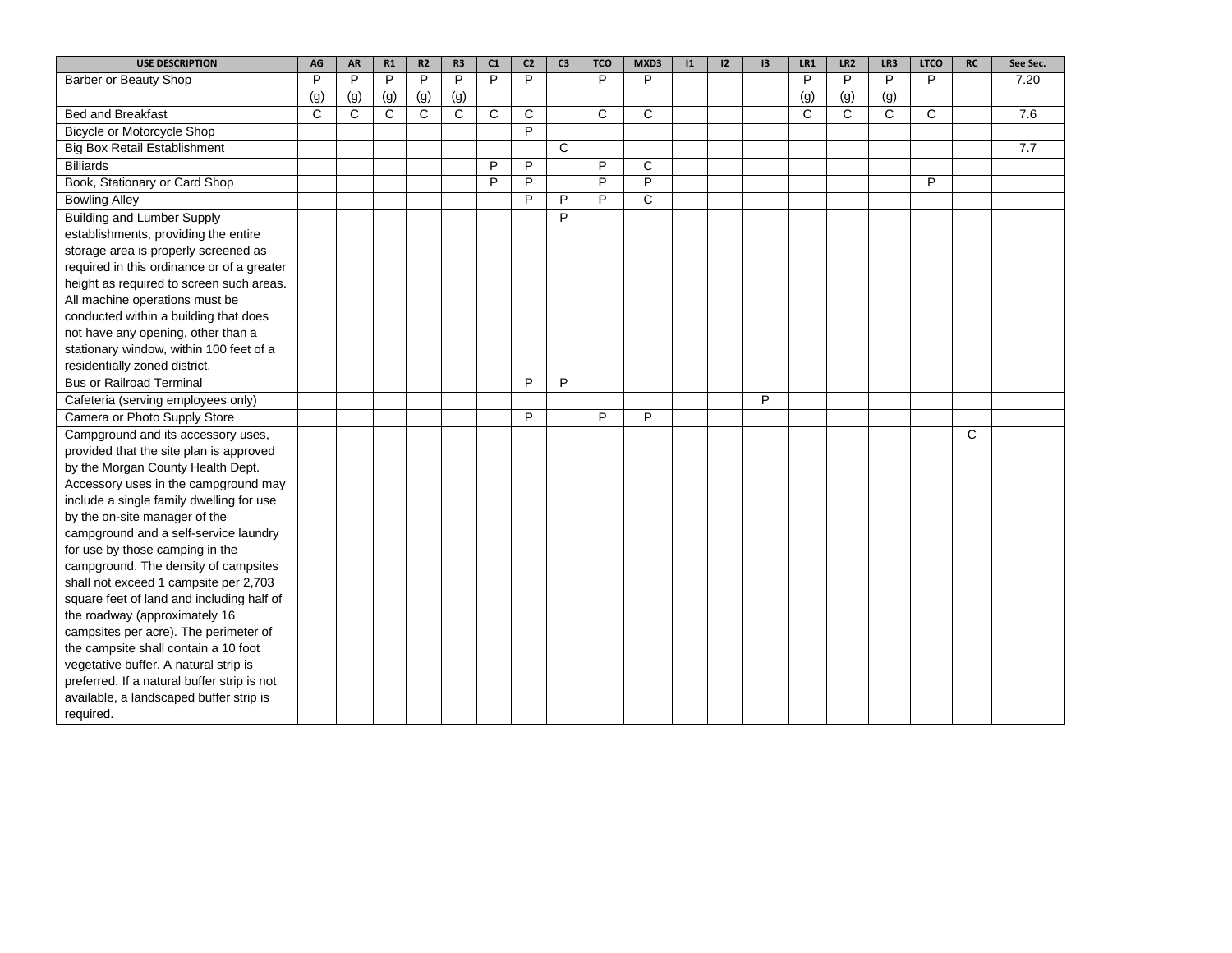| <b>USE DESCRIPTION</b>                      | AG  | <b>AR</b>    | R1           | R2  | R <sub>3</sub> | C1 | C <sub>2</sub> | C <sub>3</sub> | <b>TCO</b> | MXD3           | 1 | 12 | 13 | LR1 | LR <sub>2</sub> | LR3          | <b>LTCO</b>  | <b>RC</b> | See Sec. |
|---------------------------------------------|-----|--------------|--------------|-----|----------------|----|----------------|----------------|------------|----------------|---|----|----|-----|-----------------|--------------|--------------|-----------|----------|
| Barber or Beauty Shop                       | P   | P            | P            | P   | P              | P  | P              |                | P          | P              |   |    |    | P   | P               | P            | P            |           | 7.20     |
|                                             | (g) | (g)          | (g)          | (g) | (g)            |    |                |                |            |                |   |    |    | (g) | (g)             | (g)          |              |           |          |
| <b>Bed and Breakfast</b>                    | C   | $\mathsf{C}$ | $\mathsf{C}$ | C   | C              | C  | C              |                | C          | C              |   |    |    | C   | $\mathsf{C}$    | $\mathsf{C}$ | $\mathsf{C}$ |           | 7.6      |
| Bicycle or Motorcycle Shop                  |     |              |              |     |                |    | P              |                |            |                |   |    |    |     |                 |              |              |           |          |
| <b>Big Box Retail Establishment</b>         |     |              |              |     |                |    |                | $\mathsf{C}$   |            |                |   |    |    |     |                 |              |              |           | 7.7      |
| <b>Billiards</b>                            |     |              |              |     |                | P  | P              |                | P          | C              |   |    |    |     |                 |              |              |           |          |
| Book, Stationary or Card Shop               |     |              |              |     |                | P  | P              |                | P          | $\overline{P}$ |   |    |    |     |                 |              | P            |           |          |
| <b>Bowling Alley</b>                        |     |              |              |     |                |    | P              | P              | P          | $\overline{C}$ |   |    |    |     |                 |              |              |           |          |
| <b>Building and Lumber Supply</b>           |     |              |              |     |                |    |                | P              |            |                |   |    |    |     |                 |              |              |           |          |
| establishments, providing the entire        |     |              |              |     |                |    |                |                |            |                |   |    |    |     |                 |              |              |           |          |
| storage area is properly screened as        |     |              |              |     |                |    |                |                |            |                |   |    |    |     |                 |              |              |           |          |
| required in this ordinance or of a greater  |     |              |              |     |                |    |                |                |            |                |   |    |    |     |                 |              |              |           |          |
| height as required to screen such areas.    |     |              |              |     |                |    |                |                |            |                |   |    |    |     |                 |              |              |           |          |
| All machine operations must be              |     |              |              |     |                |    |                |                |            |                |   |    |    |     |                 |              |              |           |          |
| conducted within a building that does       |     |              |              |     |                |    |                |                |            |                |   |    |    |     |                 |              |              |           |          |
| not have any opening, other than a          |     |              |              |     |                |    |                |                |            |                |   |    |    |     |                 |              |              |           |          |
| stationary window, within 100 feet of a     |     |              |              |     |                |    |                |                |            |                |   |    |    |     |                 |              |              |           |          |
| residentially zoned district.               |     |              |              |     |                |    |                |                |            |                |   |    |    |     |                 |              |              |           |          |
| <b>Bus or Railroad Terminal</b>             |     |              |              |     |                |    | P              | P              |            |                |   |    |    |     |                 |              |              |           |          |
| Cafeteria (serving employees only)          |     |              |              |     |                |    |                |                |            |                |   |    | P  |     |                 |              |              |           |          |
| Camera or Photo Supply Store                |     |              |              |     |                |    | P              |                | P          | P              |   |    |    |     |                 |              |              |           |          |
| Campground and its accessory uses,          |     |              |              |     |                |    |                |                |            |                |   |    |    |     |                 |              |              | C         |          |
| provided that the site plan is approved     |     |              |              |     |                |    |                |                |            |                |   |    |    |     |                 |              |              |           |          |
| by the Morgan County Health Dept.           |     |              |              |     |                |    |                |                |            |                |   |    |    |     |                 |              |              |           |          |
| Accessory uses in the campground may        |     |              |              |     |                |    |                |                |            |                |   |    |    |     |                 |              |              |           |          |
| include a single family dwelling for use    |     |              |              |     |                |    |                |                |            |                |   |    |    |     |                 |              |              |           |          |
| by the on-site manager of the               |     |              |              |     |                |    |                |                |            |                |   |    |    |     |                 |              |              |           |          |
| campground and a self-service laundry       |     |              |              |     |                |    |                |                |            |                |   |    |    |     |                 |              |              |           |          |
| for use by those camping in the             |     |              |              |     |                |    |                |                |            |                |   |    |    |     |                 |              |              |           |          |
| campground. The density of campsites        |     |              |              |     |                |    |                |                |            |                |   |    |    |     |                 |              |              |           |          |
| shall not exceed 1 campsite per 2,703       |     |              |              |     |                |    |                |                |            |                |   |    |    |     |                 |              |              |           |          |
| square feet of land and including half of   |     |              |              |     |                |    |                |                |            |                |   |    |    |     |                 |              |              |           |          |
| the roadway (approximately 16               |     |              |              |     |                |    |                |                |            |                |   |    |    |     |                 |              |              |           |          |
| campsites per acre). The perimeter of       |     |              |              |     |                |    |                |                |            |                |   |    |    |     |                 |              |              |           |          |
| the campsite shall contain a 10 foot        |     |              |              |     |                |    |                |                |            |                |   |    |    |     |                 |              |              |           |          |
| vegetative buffer. A natural strip is       |     |              |              |     |                |    |                |                |            |                |   |    |    |     |                 |              |              |           |          |
| preferred. If a natural buffer strip is not |     |              |              |     |                |    |                |                |            |                |   |    |    |     |                 |              |              |           |          |
| available, a landscaped buffer strip is     |     |              |              |     |                |    |                |                |            |                |   |    |    |     |                 |              |              |           |          |
| required.                                   |     |              |              |     |                |    |                |                |            |                |   |    |    |     |                 |              |              |           |          |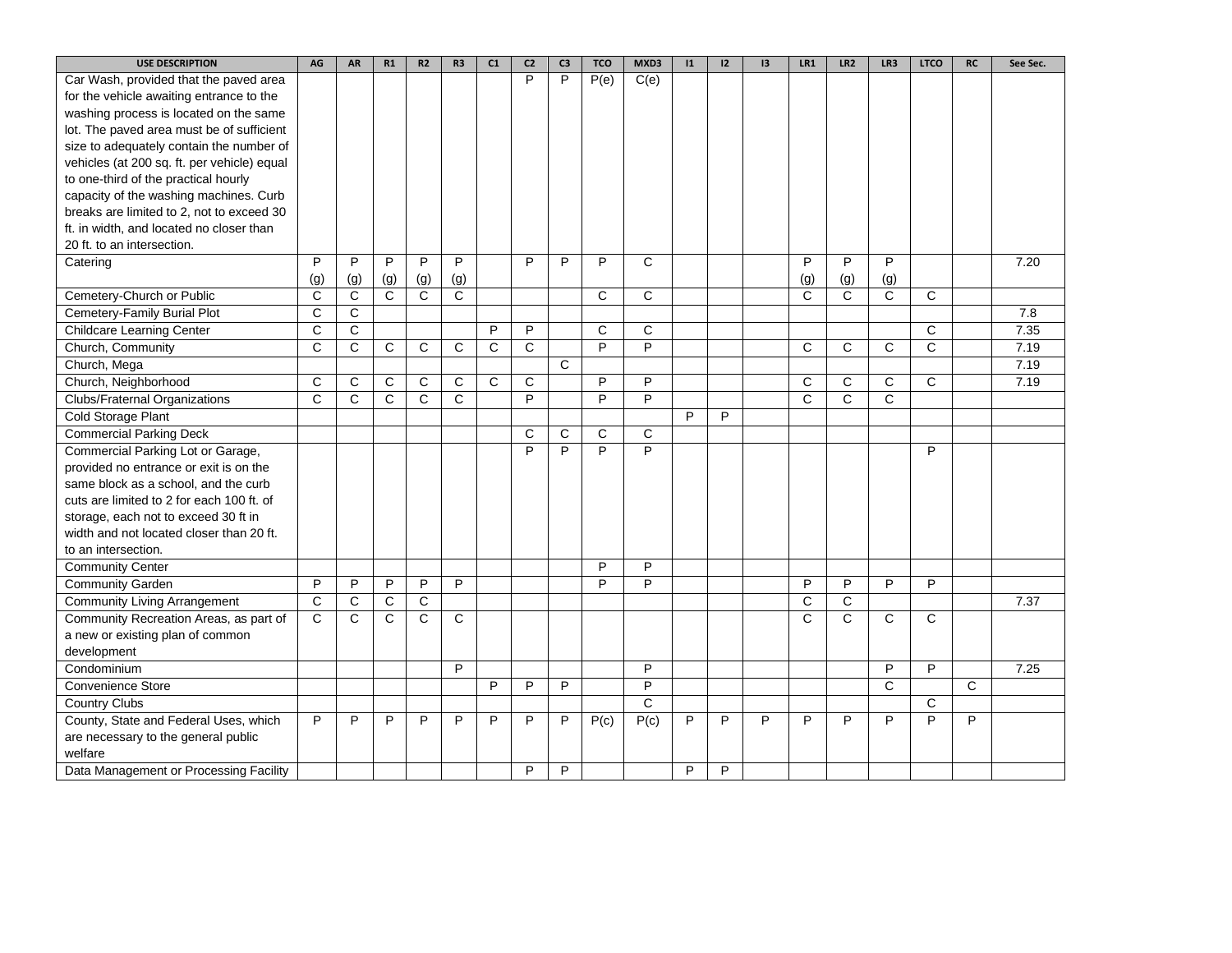| <b>USE DESCRIPTION</b>                      | AG           | AR             | R1  | R <sub>2</sub> | R <sub>3</sub> | C1 | C <sub>2</sub> | C <sub>3</sub> | <b>TCO</b>     | MXD3           | 1 | 12 | 13 | LR1          | LR <sub>2</sub> | LR3          | <b>LTCO</b>    | <b>RC</b> | See Sec. |
|---------------------------------------------|--------------|----------------|-----|----------------|----------------|----|----------------|----------------|----------------|----------------|---|----|----|--------------|-----------------|--------------|----------------|-----------|----------|
| Car Wash, provided that the paved area      |              |                |     |                |                |    | P              | P              | P(e)           | C(e)           |   |    |    |              |                 |              |                |           |          |
| for the vehicle awaiting entrance to the    |              |                |     |                |                |    |                |                |                |                |   |    |    |              |                 |              |                |           |          |
| washing process is located on the same      |              |                |     |                |                |    |                |                |                |                |   |    |    |              |                 |              |                |           |          |
| lot. The paved area must be of sufficient   |              |                |     |                |                |    |                |                |                |                |   |    |    |              |                 |              |                |           |          |
| size to adequately contain the number of    |              |                |     |                |                |    |                |                |                |                |   |    |    |              |                 |              |                |           |          |
| vehicles (at 200 sq. ft. per vehicle) equal |              |                |     |                |                |    |                |                |                |                |   |    |    |              |                 |              |                |           |          |
| to one-third of the practical hourly        |              |                |     |                |                |    |                |                |                |                |   |    |    |              |                 |              |                |           |          |
| capacity of the washing machines. Curb      |              |                |     |                |                |    |                |                |                |                |   |    |    |              |                 |              |                |           |          |
| breaks are limited to 2, not to exceed 30   |              |                |     |                |                |    |                |                |                |                |   |    |    |              |                 |              |                |           |          |
| ft. in width, and located no closer than    |              |                |     |                |                |    |                |                |                |                |   |    |    |              |                 |              |                |           |          |
| 20 ft. to an intersection.                  |              |                |     |                |                |    |                |                |                |                |   |    |    |              |                 |              |                |           |          |
| Catering                                    | P            | P              | P   | P              | P              |    | P              | P              | P              | $\mathsf{C}$   |   |    |    | P            | P               | P            |                |           | 7.20     |
|                                             | (g)          | (g)            | (g) | (g)            | (g)            |    |                |                |                |                |   |    |    | (g)          | (g)             | (g)          |                |           |          |
| Cemetery-Church or Public                   | C            | $\mathsf C$    | C   | $\mathsf{C}$   | C              |    |                |                | $\mathsf{C}$   | $\mathsf C$    |   |    |    | $\mathsf{C}$ | $\mathsf{C}$    | $\mathsf{C}$ | $\mathsf{C}$   |           |          |
| Cemetery-Family Burial Plot                 | C            | $\mathbf C$    |     |                |                |    |                |                |                |                |   |    |    |              |                 |              |                |           | 7.8      |
| <b>Childcare Learning Center</b>            | C            | $\overline{C}$ |     |                |                | P  | P              |                | $\mathbf C$    | С              |   |    |    |              |                 |              | $\mathsf C$    |           | 7.35     |
| Church, Community                           | C            | C              | С   | C              | C              | C  | $\mathbf C$    |                | P              | P              |   |    |    | C            | C               | С            | $\mathsf C$    |           | 7.19     |
| Church, Mega                                |              |                |     |                |                |    |                | $\mathsf{C}$   |                |                |   |    |    |              |                 |              |                |           | 7.19     |
| Church, Neighborhood                        | C            | C              | C   | C              | C              | C  | C              |                | P              | P              |   |    |    | C            | C               | C            | C              |           | 7.19     |
| Clubs/Fraternal Organizations               | C            | C              | C   | C              | C              |    | P              |                | P              | P              |   |    |    | $\mathsf{C}$ | $\mathsf{C}$    | C            |                |           |          |
| Cold Storage Plant                          |              |                |     |                |                |    |                |                |                |                | P | P  |    |              |                 |              |                |           |          |
| <b>Commercial Parking Deck</b>              |              |                |     |                |                |    | C              | C              | C              | C              |   |    |    |              |                 |              |                |           |          |
| Commercial Parking Lot or Garage,           |              |                |     |                |                |    | P              | P              | $\overline{P}$ | P              |   |    |    |              |                 |              | P              |           |          |
| provided no entrance or exit is on the      |              |                |     |                |                |    |                |                |                |                |   |    |    |              |                 |              |                |           |          |
| same block as a school, and the curb        |              |                |     |                |                |    |                |                |                |                |   |    |    |              |                 |              |                |           |          |
| cuts are limited to 2 for each 100 ft. of   |              |                |     |                |                |    |                |                |                |                |   |    |    |              |                 |              |                |           |          |
| storage, each not to exceed 30 ft in        |              |                |     |                |                |    |                |                |                |                |   |    |    |              |                 |              |                |           |          |
| width and not located closer than 20 ft.    |              |                |     |                |                |    |                |                |                |                |   |    |    |              |                 |              |                |           |          |
| to an intersection.                         |              |                |     |                |                |    |                |                |                |                |   |    |    |              |                 |              |                |           |          |
| <b>Community Center</b>                     |              |                |     |                |                |    |                |                | $\overline{P}$ | P              |   |    |    |              |                 |              |                |           |          |
| <b>Community Garden</b>                     | P            | P              | P   | P              | P              |    |                |                | P              | $\overline{P}$ |   |    |    | P            | P               | P            | P              |           |          |
|                                             | $\mathsf{C}$ | $\mathbf C$    | C   | C              |                |    |                |                |                |                |   |    |    | $\mathsf{C}$ | $\mathsf{C}$    |              |                |           | 7.37     |
| <b>Community Living Arrangement</b>         |              |                |     |                |                |    |                |                |                |                |   |    |    |              |                 |              |                |           |          |
| Community Recreation Areas, as part of      | $\mathsf{C}$ | C              | C   | C              | C              |    |                |                |                |                |   |    |    | $\mathsf{C}$ | $\mathsf{C}$    | C            | C              |           |          |
| a new or existing plan of common            |              |                |     |                |                |    |                |                |                |                |   |    |    |              |                 |              |                |           |          |
| development                                 |              |                |     |                |                |    |                |                |                |                |   |    |    |              |                 |              |                |           |          |
| Condominium                                 |              |                |     |                | P              |    |                |                |                | P              |   |    |    |              |                 | P            | P              |           | 7.25     |
| Convenience Store                           |              |                |     |                |                | P  | P              | P              |                | P              |   |    |    |              |                 | С            |                | C         |          |
| <b>Country Clubs</b>                        |              |                |     |                |                |    |                |                |                | $\mathsf{C}$   |   |    |    |              |                 |              | C              |           |          |
| County, State and Federal Uses, which       | P            | P              | P   | P              | P              | P  | P              | P              | P(c)           | P(c)           | P | P  | P  | P            | P               | P            | $\overline{P}$ | P         |          |
| are necessary to the general public         |              |                |     |                |                |    |                |                |                |                |   |    |    |              |                 |              |                |           |          |
| welfare                                     |              |                |     |                |                |    |                |                |                |                |   |    |    |              |                 |              |                |           |          |
| Data Management or Processing Facility      |              |                |     |                |                |    | P              | P              |                |                | P | P  |    |              |                 |              |                |           |          |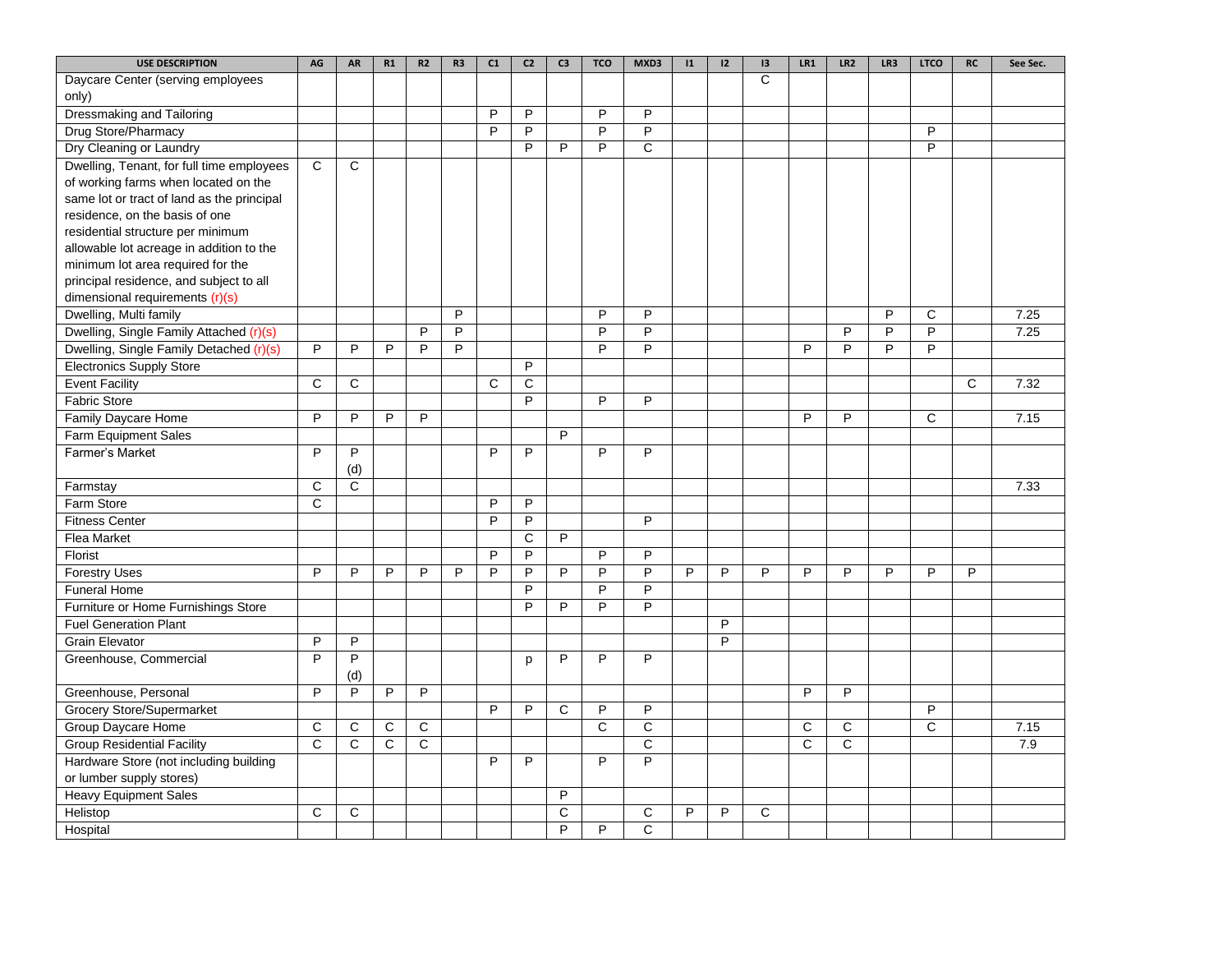| C<br>Daycare Center (serving employees<br>only)<br><b>Dressmaking and Tailoring</b><br>P<br>P<br>P<br>P<br>Drug Store/Pharmacy<br>$\overline{P}$<br>$\overline{P}$<br>$\overline{P}$<br>$\overline{P}$<br>P |      |
|-------------------------------------------------------------------------------------------------------------------------------------------------------------------------------------------------------------|------|
|                                                                                                                                                                                                             |      |
|                                                                                                                                                                                                             |      |
|                                                                                                                                                                                                             |      |
|                                                                                                                                                                                                             |      |
| $\overline{P}$<br>$\mathsf{C}$<br>Dry Cleaning or Laundry<br>P<br>P<br>P                                                                                                                                    |      |
| $\overline{c}$<br>$\mathsf{C}$<br>Dwelling, Tenant, for full time employees                                                                                                                                 |      |
| of working farms when located on the                                                                                                                                                                        |      |
| same lot or tract of land as the principal                                                                                                                                                                  |      |
| residence, on the basis of one                                                                                                                                                                              |      |
| residential structure per minimum                                                                                                                                                                           |      |
| allowable lot acreage in addition to the                                                                                                                                                                    |      |
| minimum lot area required for the                                                                                                                                                                           |      |
| principal residence, and subject to all                                                                                                                                                                     |      |
| dimensional requirements (r)(s)                                                                                                                                                                             |      |
| P<br>P<br>P<br>P<br>$\mathsf{C}$<br>Dwelling, Multi family                                                                                                                                                  | 7.25 |
| $\overline{P}$<br>$\overline{P}$<br>$\overline{P}$<br>Dwelling, Single Family Attached (r)(s)<br>P<br>P<br>P<br>P                                                                                           | 7.25 |
| $\overline{P}$<br>P<br>P<br>P<br>P<br>P<br>P<br>Dwelling, Single Family Detached (r)(s)<br>P<br>P<br>P<br>P                                                                                                 |      |
| <b>Electronics Supply Store</b><br>P                                                                                                                                                                        |      |
| $\mathbf C$<br>$\mathsf C$<br>$\mathsf{C}$<br><b>Event Facility</b><br>C<br>C                                                                                                                               | 7.32 |
| $\overline{P}$<br>$\overline{P}$<br><b>Fabric Store</b><br>P                                                                                                                                                |      |
| P<br>$\overline{P}$<br>Family Daycare Home<br>P<br>P<br>P<br>P<br>C                                                                                                                                         | 7.15 |
| <b>Farm Equipment Sales</b><br>P                                                                                                                                                                            |      |
| P<br>Farmer's Market<br>P<br>P<br>P<br>P<br>P                                                                                                                                                               |      |
| (d)                                                                                                                                                                                                         |      |
| C<br>C<br>Farmstay                                                                                                                                                                                          | 7.33 |
| C<br>P<br>P<br>Farm Store                                                                                                                                                                                   |      |
| P<br>P<br><b>Fitness Center</b><br>P                                                                                                                                                                        |      |
| $\overline{C}$<br>$\overline{P}$<br>Flea Market                                                                                                                                                             |      |
| Florist<br>P<br>P<br>P<br>P                                                                                                                                                                                 |      |
| $\overline{P}$<br>P<br>P<br><b>Forestry Uses</b><br>P<br>P<br>P<br>P<br>P<br>P<br>P<br>P<br>P<br>P<br>P<br>P<br>P<br>P<br>P                                                                                 |      |
| $\overline{P}$<br>P<br>P<br><b>Funeral Home</b>                                                                                                                                                             |      |
| Furniture or Home Furnishings Store<br>P<br>P<br>P<br>P                                                                                                                                                     |      |
| <b>Fuel Generation Plant</b><br>$\overline{P}$                                                                                                                                                              |      |
| P<br><b>Grain Elevator</b><br>P<br>P                                                                                                                                                                        |      |
| P<br>P<br>P<br>P<br>P<br>Greenhouse, Commercial<br>p                                                                                                                                                        |      |
| (d)                                                                                                                                                                                                         |      |
| P<br>P<br>P<br>P<br>P<br>P<br>Greenhouse, Personal                                                                                                                                                          |      |
| <b>Grocery Store/Supermarket</b><br>P<br>P<br>P<br>P<br>P<br>С                                                                                                                                              |      |
| $\overline{c}$<br>$\overline{C}$<br>$\overline{C}$<br>Group Daycare Home<br>C<br>C<br>C<br>C<br>C<br>C                                                                                                      | 7.15 |
| $\mathsf{C}$<br>$\mathsf{C}$<br>$\mathsf C$<br><b>Group Residential Facility</b><br>C<br>C<br>C<br>C                                                                                                        | 7.9  |
| $\overline{P}$<br>Hardware Store (not including building<br>P<br>P<br>P                                                                                                                                     |      |
| or lumber supply stores)                                                                                                                                                                                    |      |
| <b>Heavy Equipment Sales</b><br>P                                                                                                                                                                           |      |
| Helistop<br>C<br>C<br>C<br>C<br>P<br>P<br>C                                                                                                                                                                 |      |
| $\overline{c}$<br>P<br>P<br>Hospital                                                                                                                                                                        |      |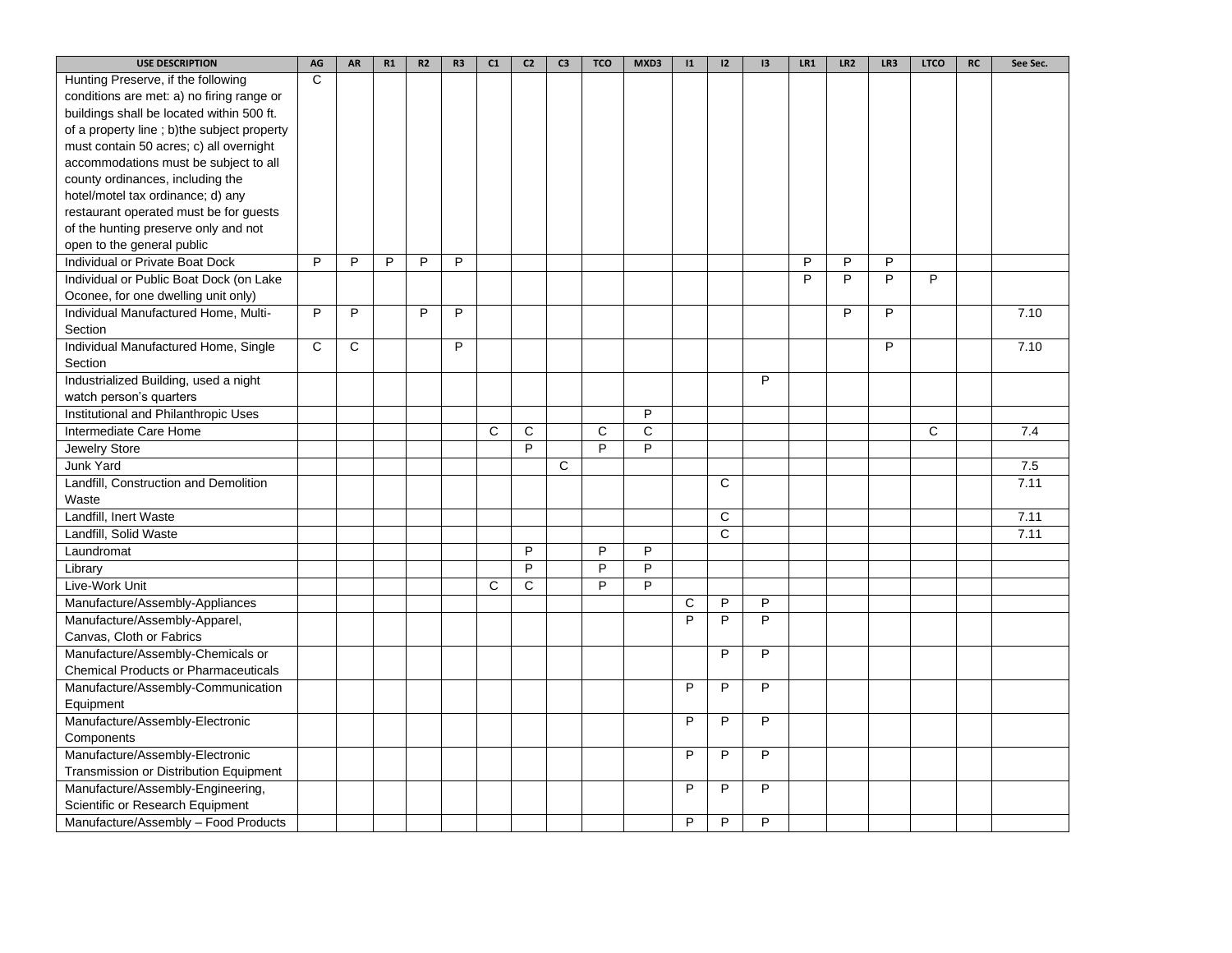| <b>USE DESCRIPTION</b>                      | AG           | AR | R1 | R2 | R <sub>3</sub> | C1 | C <sub>2</sub> | C <sub>3</sub> | <b>TCO</b> | MXD3           | $\mathbf{11}$ | 12           | 13 | LR1            | LR <sub>2</sub> | LR3            | <b>LTCO</b> | RC | See Sec. |
|---------------------------------------------|--------------|----|----|----|----------------|----|----------------|----------------|------------|----------------|---------------|--------------|----|----------------|-----------------|----------------|-------------|----|----------|
| Hunting Preserve, if the following          | C            |    |    |    |                |    |                |                |            |                |               |              |    |                |                 |                |             |    |          |
| conditions are met: a) no firing range or   |              |    |    |    |                |    |                |                |            |                |               |              |    |                |                 |                |             |    |          |
| buildings shall be located within 500 ft.   |              |    |    |    |                |    |                |                |            |                |               |              |    |                |                 |                |             |    |          |
| of a property line; b)the subject property  |              |    |    |    |                |    |                |                |            |                |               |              |    |                |                 |                |             |    |          |
| must contain 50 acres; c) all overnight     |              |    |    |    |                |    |                |                |            |                |               |              |    |                |                 |                |             |    |          |
| accommodations must be subject to all       |              |    |    |    |                |    |                |                |            |                |               |              |    |                |                 |                |             |    |          |
| county ordinances, including the            |              |    |    |    |                |    |                |                |            |                |               |              |    |                |                 |                |             |    |          |
| hotel/motel tax ordinance; d) any           |              |    |    |    |                |    |                |                |            |                |               |              |    |                |                 |                |             |    |          |
| restaurant operated must be for guests      |              |    |    |    |                |    |                |                |            |                |               |              |    |                |                 |                |             |    |          |
| of the hunting preserve only and not        |              |    |    |    |                |    |                |                |            |                |               |              |    |                |                 |                |             |    |          |
| open to the general public                  |              |    |    |    |                |    |                |                |            |                |               |              |    |                |                 |                |             |    |          |
| Individual or Private Boat Dock             | P            | P  | P  | P  | P              |    |                |                |            |                |               |              |    | P              | P               | P              |             |    |          |
| Individual or Public Boat Dock (on Lake     |              |    |    |    |                |    |                |                |            |                |               |              |    | $\overline{P}$ | $\overline{P}$  | $\overline{P}$ | P           |    |          |
| Oconee, for one dwelling unit only)         |              |    |    |    |                |    |                |                |            |                |               |              |    |                |                 |                |             |    |          |
| Individual Manufactured Home, Multi-        | P            | P  |    | P  | P              |    |                |                |            |                |               |              |    |                | P               | P              |             |    | 7.10     |
| Section                                     |              |    |    |    |                |    |                |                |            |                |               |              |    |                |                 |                |             |    |          |
| Individual Manufactured Home, Single        | $\mathsf{C}$ | C  |    |    | P              |    |                |                |            |                |               |              |    |                |                 | P              |             |    | 7.10     |
| Section                                     |              |    |    |    |                |    |                |                |            |                |               |              |    |                |                 |                |             |    |          |
| Industrialized Building, used a night       |              |    |    |    |                |    |                |                |            |                |               |              | P  |                |                 |                |             |    |          |
| watch person's quarters                     |              |    |    |    |                |    |                |                |            |                |               |              |    |                |                 |                |             |    |          |
| Institutional and Philanthropic Uses        |              |    |    |    |                |    |                |                |            | P              |               |              |    |                |                 |                |             |    |          |
| Intermediate Care Home                      |              |    |    |    |                | C  | С              |                | C          | C              |               |              |    |                |                 |                | C           |    | 7.4      |
| Jewelry Store                               |              |    |    |    |                |    | $\overline{P}$ |                | P          | $\overline{P}$ |               |              |    |                |                 |                |             |    |          |
| Junk Yard                                   |              |    |    |    |                |    |                | $\mathsf{C}$   |            |                |               |              |    |                |                 |                |             |    | 7.5      |
| Landfill, Construction and Demolition       |              |    |    |    |                |    |                |                |            |                |               | C            |    |                |                 |                |             |    | 7.11     |
| Waste                                       |              |    |    |    |                |    |                |                |            |                |               |              |    |                |                 |                |             |    |          |
| Landfill, Inert Waste                       |              |    |    |    |                |    |                |                |            |                |               | C            |    |                |                 |                |             |    | 7.11     |
| Landfill, Solid Waste                       |              |    |    |    |                |    |                |                |            |                |               | $\mathsf{C}$ |    |                |                 |                |             |    | 7.11     |
| Laundromat                                  |              |    |    |    |                |    | P              |                | P          | $\overline{P}$ |               |              |    |                |                 |                |             |    |          |
| Library                                     |              |    |    |    |                |    | P              |                | P          | P              |               |              |    |                |                 |                |             |    |          |
| Live-Work Unit                              |              |    |    |    |                | C  | C              |                | P          | $\overline{P}$ |               |              |    |                |                 |                |             |    |          |
| Manufacture/Assembly-Appliances             |              |    |    |    |                |    |                |                |            |                | C             | P            | P  |                |                 |                |             |    |          |
| Manufacture/Assembly-Apparel,               |              |    |    |    |                |    |                |                |            |                | P             | P            | P  |                |                 |                |             |    |          |
| Canvas, Cloth or Fabrics                    |              |    |    |    |                |    |                |                |            |                |               |              |    |                |                 |                |             |    |          |
| Manufacture/Assembly-Chemicals or           |              |    |    |    |                |    |                |                |            |                |               | P            | P  |                |                 |                |             |    |          |
| <b>Chemical Products or Pharmaceuticals</b> |              |    |    |    |                |    |                |                |            |                |               |              |    |                |                 |                |             |    |          |
| Manufacture/Assembly-Communication          |              |    |    |    |                |    |                |                |            |                | P             | P            | P  |                |                 |                |             |    |          |
| Equipment                                   |              |    |    |    |                |    |                |                |            |                |               |              |    |                |                 |                |             |    |          |
| Manufacture/Assembly-Electronic             |              |    |    |    |                |    |                |                |            |                | P             | P            | P  |                |                 |                |             |    |          |
| Components                                  |              |    |    |    |                |    |                |                |            |                |               |              |    |                |                 |                |             |    |          |
| Manufacture/Assembly-Electronic             |              |    |    |    |                |    |                |                |            |                | P             | P            | P  |                |                 |                |             |    |          |
| Transmission or Distribution Equipment      |              |    |    |    |                |    |                |                |            |                |               |              |    |                |                 |                |             |    |          |
| Manufacture/Assembly-Engineering,           |              |    |    |    |                |    |                |                |            |                | P             | P            | P  |                |                 |                |             |    |          |
| Scientific or Research Equipment            |              |    |    |    |                |    |                |                |            |                |               |              |    |                |                 |                |             |    |          |
| Manufacture/Assembly - Food Products        |              |    |    |    |                |    |                |                |            |                | P             | P            | P  |                |                 |                |             |    |          |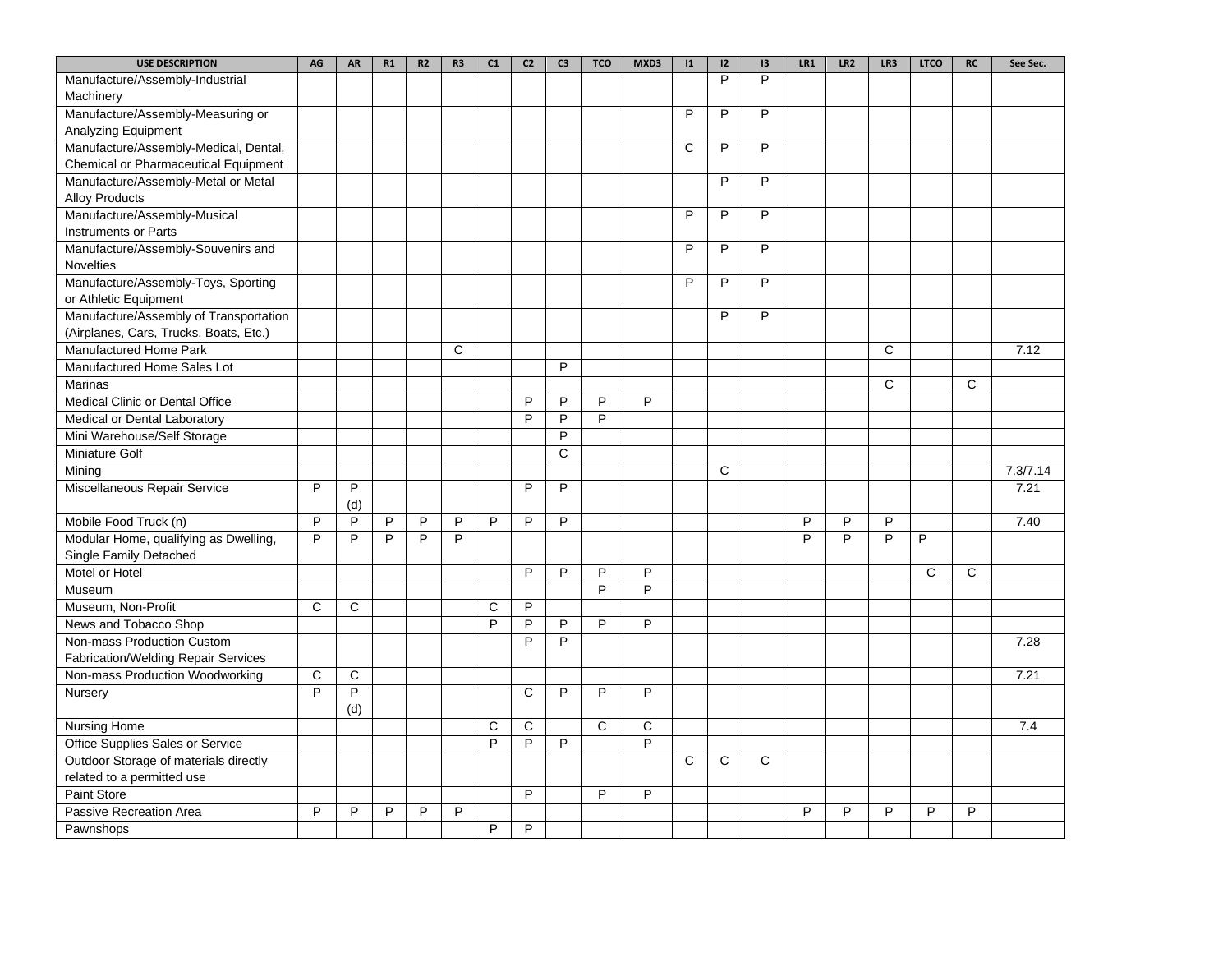| <b>USE DESCRIPTION</b>                 | AG             | AR             | R1             | R2             | R <sub>3</sub> | C1             | C <sub>2</sub> | C <sub>3</sub>        | <b>TCO</b>     | MXD3           | $\mathbf{11}$  | 12             | 13             | LR1 | LR <sub>2</sub> | LR3            | <b>LTCO</b>    | <b>RC</b>      | See Sec. |
|----------------------------------------|----------------|----------------|----------------|----------------|----------------|----------------|----------------|-----------------------|----------------|----------------|----------------|----------------|----------------|-----|-----------------|----------------|----------------|----------------|----------|
| Manufacture/Assembly-Industrial        |                |                |                |                |                |                |                |                       |                |                |                | P              | P              |     |                 |                |                |                |          |
| Machinery                              |                |                |                |                |                |                |                |                       |                |                |                |                |                |     |                 |                |                |                |          |
| Manufacture/Assembly-Measuring or      |                |                |                |                |                |                |                |                       |                |                | P              | P              | P              |     |                 |                |                |                |          |
| Analyzing Equipment                    |                |                |                |                |                |                |                |                       |                |                |                |                |                |     |                 |                |                |                |          |
| Manufacture/Assembly-Medical, Dental,  |                |                |                |                |                |                |                |                       |                |                | $\overline{c}$ | $\overline{P}$ | $\overline{P}$ |     |                 |                |                |                |          |
| Chemical or Pharmaceutical Equipment   |                |                |                |                |                |                |                |                       |                |                |                |                |                |     |                 |                |                |                |          |
| Manufacture/Assembly-Metal or Metal    |                |                |                |                |                |                |                |                       |                |                |                | $\overline{P}$ | $\overline{P}$ |     |                 |                |                |                |          |
| <b>Alloy Products</b>                  |                |                |                |                |                |                |                |                       |                |                |                |                |                |     |                 |                |                |                |          |
| Manufacture/Assembly-Musical           |                |                |                |                |                |                |                |                       |                |                | P              | P              | P              |     |                 |                |                |                |          |
| <b>Instruments or Parts</b>            |                |                |                |                |                |                |                |                       |                |                |                |                |                |     |                 |                |                |                |          |
| Manufacture/Assembly-Souvenirs and     |                |                |                |                |                |                |                |                       |                |                | P              | P              | P              |     |                 |                |                |                |          |
| <b>Novelties</b>                       |                |                |                |                |                |                |                |                       |                |                |                |                |                |     |                 |                |                |                |          |
| Manufacture/Assembly-Toys, Sporting    |                |                |                |                |                |                |                |                       |                |                | P              | P              | P              |     |                 |                |                |                |          |
| or Athletic Equipment                  |                |                |                |                |                |                |                |                       |                |                |                |                |                |     |                 |                |                |                |          |
| Manufacture/Assembly of Transportation |                |                |                |                |                |                |                |                       |                |                |                | P              | P              |     |                 |                |                |                |          |
| (Airplanes, Cars, Trucks. Boats, Etc.) |                |                |                |                |                |                |                |                       |                |                |                |                |                |     |                 |                |                |                |          |
| <b>Manufactured Home Park</b>          |                |                |                |                | $\mathsf{C}$   |                |                |                       |                |                |                |                |                |     |                 | $\mathsf{C}$   |                |                | 7.12     |
| Manufactured Home Sales Lot            |                |                |                |                |                |                |                | P                     |                |                |                |                |                |     |                 |                |                |                |          |
| Marinas                                |                |                |                |                |                |                |                |                       |                |                |                |                |                |     |                 | C              |                | C              |          |
| Medical Clinic or Dental Office        |                |                |                |                |                |                | P              | P                     | P              | $\overline{P}$ |                |                |                |     |                 |                |                |                |          |
| Medical or Dental Laboratory           |                |                |                |                |                |                | P              | P                     | P              |                |                |                |                |     |                 |                |                |                |          |
| Mini Warehouse/Self Storage            |                |                |                |                |                |                |                | P                     |                |                |                |                |                |     |                 |                |                |                |          |
| Miniature Golf                         |                |                |                |                |                |                |                | $\overline{\text{c}}$ |                |                |                |                |                |     |                 |                |                |                |          |
| Mining                                 |                |                |                |                |                |                |                |                       |                |                |                | C              |                |     |                 |                |                |                | 7.3/7.14 |
| Miscellaneous Repair Service           | P              | P              |                |                |                |                | P              | P                     |                |                |                |                |                |     |                 |                |                |                | 7.21     |
|                                        |                | (d)            |                |                |                |                |                |                       |                |                |                |                |                |     |                 |                |                |                |          |
| Mobile Food Truck (n)                  | $\overline{P}$ | $\overline{P}$ | $\overline{P}$ | $\overline{P}$ | $\overline{P}$ | $\overline{P}$ | $\overline{P}$ | $\overline{P}$        |                |                |                |                |                | P   | P               | $\overline{P}$ |                |                | 7.40     |
| Modular Home, qualifying as Dwelling,  | P              | P              | P              | P              | P              |                |                |                       |                |                |                |                |                | P   | P               | $\overline{P}$ | P              |                |          |
| Single Family Detached                 |                |                |                |                |                |                |                |                       |                |                |                |                |                |     |                 |                |                |                |          |
| Motel or Hotel                         |                |                |                |                |                |                | P              | P                     | P              | P              |                |                |                |     |                 |                | $\mathsf{C}$   | $\mathsf{C}$   |          |
| Museum                                 |                |                |                |                |                |                |                |                       | $\overline{P}$ | $\overline{P}$ |                |                |                |     |                 |                |                |                |          |
| Museum, Non-Profit                     | C              | C              |                |                |                | C              | P              |                       |                |                |                |                |                |     |                 |                |                |                |          |
| News and Tobacco Shop                  |                |                |                |                |                | $\overline{P}$ | $\overline{P}$ | P                     | $\overline{P}$ | $\overline{P}$ |                |                |                |     |                 |                |                |                |          |
| Non-mass Production Custom             |                |                |                |                |                |                | $\overline{P}$ | P                     |                |                |                |                |                |     |                 |                |                |                | 7.28     |
| Fabrication/Welding Repair Services    |                |                |                |                |                |                |                |                       |                |                |                |                |                |     |                 |                |                |                |          |
| Non-mass Production Woodworking        | C              | C              |                |                |                |                |                |                       |                |                |                |                |                |     |                 |                |                |                | 7.21     |
| Nursery                                | $\overline{P}$ | $\overline{P}$ |                |                |                |                | C              | P                     | P              | $\overline{P}$ |                |                |                |     |                 |                |                |                |          |
|                                        |                | (d)            |                |                |                |                |                |                       |                |                |                |                |                |     |                 |                |                |                |          |
| Nursing Home                           |                |                |                |                |                | C              | C              |                       | $\overline{c}$ | $\overline{c}$ |                |                |                |     |                 |                |                |                | 7.4      |
| Office Supplies Sales or Service       |                |                |                |                |                | P              | $\overline{P}$ | P                     |                | $\overline{P}$ |                |                |                |     |                 |                |                |                |          |
| Outdoor Storage of materials directly  |                |                |                |                |                |                |                |                       |                |                | C              | C              | C              |     |                 |                |                |                |          |
| related to a permitted use             |                |                |                |                |                |                |                |                       |                |                |                |                |                |     |                 |                |                |                |          |
| <b>Paint Store</b>                     |                |                |                |                |                |                | P              |                       | P              | P              |                |                |                |     |                 |                |                |                |          |
| Passive Recreation Area                | $\overline{P}$ | $\overline{P}$ | P              | P              | $\overline{P}$ |                |                |                       |                |                |                |                |                | P   | $\overline{P}$  | $\overline{P}$ | $\overline{P}$ | $\overline{P}$ |          |
| Pawnshops                              |                |                |                |                |                | P              | P              |                       |                |                |                |                |                |     |                 |                |                |                |          |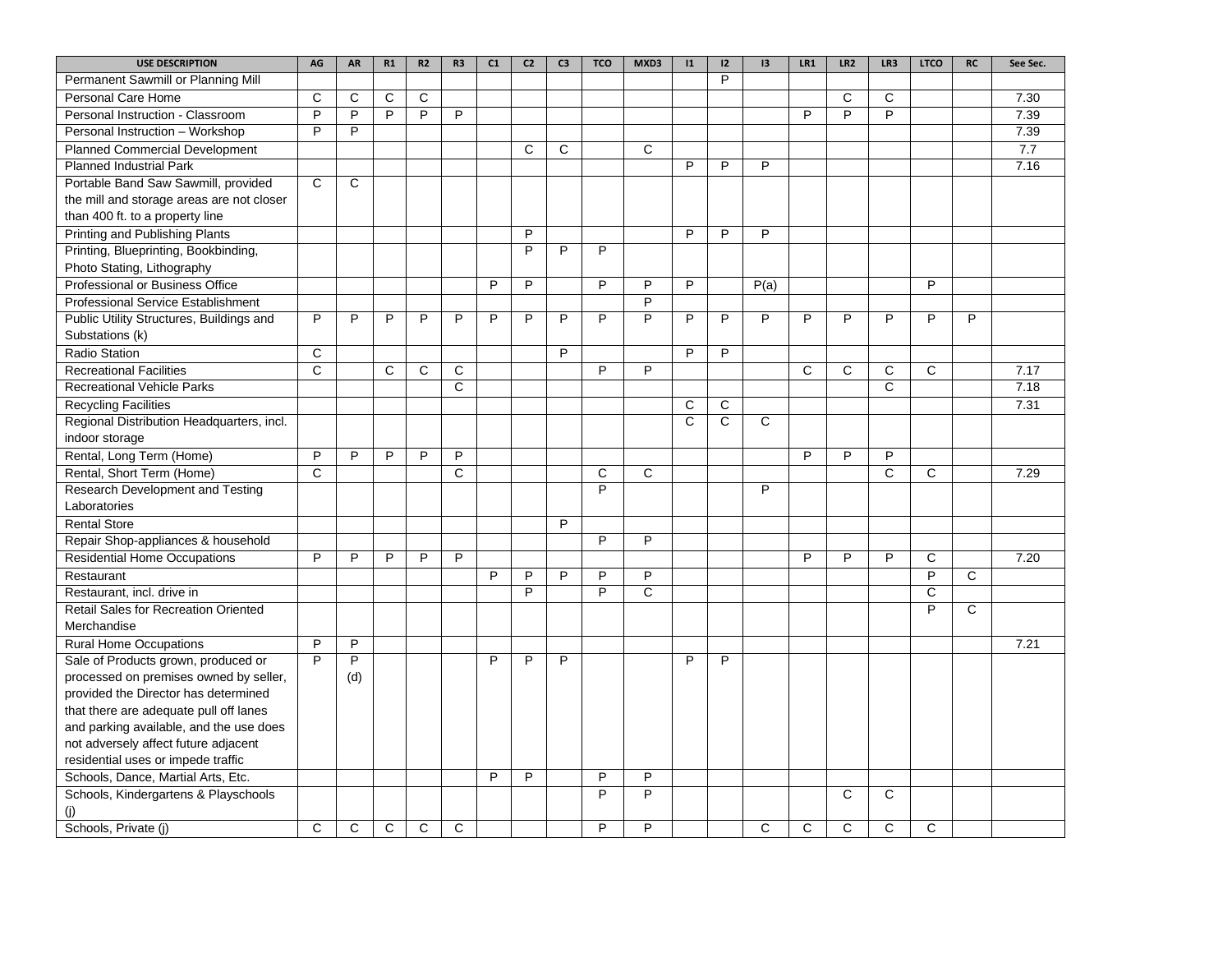| <b>USE DESCRIPTION</b>                      | AG             | AR             | R1           | R2 | R <sub>3</sub> | C1 | C <sub>2</sub> | C <sub>3</sub> | <b>TCO</b>     | MXD3           | $\mathbf{11}$  | 12           | 3    | LR1          | LR <sub>2</sub> | LR3            | <b>LTCO</b>             | <b>RC</b>    | See Sec. |
|---------------------------------------------|----------------|----------------|--------------|----|----------------|----|----------------|----------------|----------------|----------------|----------------|--------------|------|--------------|-----------------|----------------|-------------------------|--------------|----------|
| Permanent Sawmill or Planning Mill          |                |                |              |    |                |    |                |                |                |                |                | P            |      |              |                 |                |                         |              |          |
| Personal Care Home                          | C              | C              | C            | C  |                |    |                |                |                |                |                |              |      |              | C               | C              |                         |              | 7.30     |
| Personal Instruction - Classroom            | P              | P              | P            | P  | P              |    |                |                |                |                |                |              |      | P            | P               | P              |                         |              | 7.39     |
| Personal Instruction - Workshop             | P              | P              |              |    |                |    |                |                |                |                |                |              |      |              |                 |                |                         |              | 7.39     |
| <b>Planned Commercial Development</b>       |                |                |              |    |                |    | $\mathsf{C}$   | C              |                | $\overline{C}$ |                |              |      |              |                 |                |                         |              | 7.7      |
| <b>Planned Industrial Park</b>              |                |                |              |    |                |    |                |                |                |                | P              | P            | P    |              |                 |                |                         |              | 7.16     |
| Portable Band Saw Sawmill, provided         | C              | C              |              |    |                |    |                |                |                |                |                |              |      |              |                 |                |                         |              |          |
| the mill and storage areas are not closer   |                |                |              |    |                |    |                |                |                |                |                |              |      |              |                 |                |                         |              |          |
| than 400 ft. to a property line             |                |                |              |    |                |    |                |                |                |                |                |              |      |              |                 |                |                         |              |          |
| <b>Printing and Publishing Plants</b>       |                |                |              |    |                |    | P              |                |                |                | P              | P            | P    |              |                 |                |                         |              |          |
| Printing, Blueprinting, Bookbinding,        |                |                |              |    |                |    | $\overline{P}$ | P              | $\overline{P}$ |                |                |              |      |              |                 |                |                         |              |          |
| Photo Stating, Lithography                  |                |                |              |    |                |    |                |                |                |                |                |              |      |              |                 |                |                         |              |          |
| Professional or Business Office             |                |                |              |    |                | P  | P              |                | P              | P              | P              |              | P(a) |              |                 |                | $\overline{P}$          |              |          |
| <b>Professional Service Establishment</b>   |                |                |              |    |                |    |                |                |                | P              |                |              |      |              |                 |                |                         |              |          |
| Public Utility Structures, Buildings and    | P              | P              | P            | P  | P              | P  | P              | P              | P              | $\overline{P}$ | P              | P            | P    | P            | P               | P              | P                       | P            |          |
| Substations (k)                             |                |                |              |    |                |    |                |                |                |                |                |              |      |              |                 |                |                         |              |          |
| Radio Station                               | C              |                |              |    |                |    |                | P              |                |                | P              | P            |      |              |                 |                |                         |              |          |
| <b>Recreational Facilities</b>              | C              |                | C            | C  | C              |    |                |                | P              | P              |                |              |      | C            | C               | C              | C                       |              | 7.17     |
| <b>Recreational Vehicle Parks</b>           |                |                |              |    | $\overline{c}$ |    |                |                |                |                |                |              |      |              |                 | $\overline{C}$ |                         |              | 7.18     |
| <b>Recycling Facilities</b>                 |                |                |              |    |                |    |                |                |                |                | C              | $\mathsf C$  |      |              |                 |                |                         |              | 7.31     |
| Regional Distribution Headquarters, incl.   |                |                |              |    |                |    |                |                |                |                | $\mathbf C$    | $\mathsf{C}$ | C    |              |                 |                |                         |              |          |
| indoor storage                              |                |                |              |    |                |    |                |                |                |                |                |              |      |              |                 |                |                         |              |          |
| Rental, Long Term (Home)                    | P              | P              | P            | P  | P              |    |                |                |                |                |                |              |      | P            | P               | P              |                         |              |          |
| Rental, Short Term (Home)                   | $\mathsf{C}$   |                |              |    | $\overline{c}$ |    |                |                | $\mathsf{C}$   | $\overline{c}$ |                |              |      |              |                 | $\overline{C}$ | $\overline{c}$          |              | 7.29     |
| Research Development and Testing            |                |                |              |    |                |    |                |                | $\overline{P}$ |                |                |              | P    |              |                 |                |                         |              |          |
| Laboratories                                |                |                |              |    |                |    |                |                |                |                |                |              |      |              |                 |                |                         |              |          |
| <b>Rental Store</b>                         |                |                |              |    |                |    |                | P              |                |                |                |              |      |              |                 |                |                         |              |          |
| Repair Shop-appliances & household          |                |                |              |    |                |    |                |                | P              | P              |                |              |      |              |                 |                |                         |              |          |
| <b>Residential Home Occupations</b>         | P              | P              | P            | P  | P              |    |                |                |                |                |                |              |      | P            | P               | P              | C                       |              | 7.20     |
| Restaurant                                  |                |                |              |    |                | P  | P              | P              | P              | P              |                |              |      |              |                 |                | $\overline{P}$          | C            |          |
| Restaurant, incl. drive in                  |                |                |              |    |                |    | $\overline{P}$ |                | $\overline{P}$ | $\overline{c}$ |                |              |      |              |                 |                | $\overline{\mathsf{c}}$ |              |          |
| <b>Retail Sales for Recreation Oriented</b> |                |                |              |    |                |    |                |                |                |                |                |              |      |              |                 |                | P                       | $\mathsf{C}$ |          |
| Merchandise                                 |                |                |              |    |                |    |                |                |                |                |                |              |      |              |                 |                |                         |              |          |
| <b>Rural Home Occupations</b>               | P              | P              |              |    |                |    |                |                |                |                |                |              |      |              |                 |                |                         |              | 7.21     |
| Sale of Products grown, produced or         | $\overline{P}$ | $\overline{P}$ |              |    |                | P  | $\overline{P}$ | $\overline{P}$ |                |                | $\overline{P}$ | P            |      |              |                 |                |                         |              |          |
| processed on premises owned by seller,      |                | (d)            |              |    |                |    |                |                |                |                |                |              |      |              |                 |                |                         |              |          |
| provided the Director has determined        |                |                |              |    |                |    |                |                |                |                |                |              |      |              |                 |                |                         |              |          |
| that there are adequate pull off lanes      |                |                |              |    |                |    |                |                |                |                |                |              |      |              |                 |                |                         |              |          |
| and parking available, and the use does     |                |                |              |    |                |    |                |                |                |                |                |              |      |              |                 |                |                         |              |          |
| not adversely affect future adjacent        |                |                |              |    |                |    |                |                |                |                |                |              |      |              |                 |                |                         |              |          |
| residential uses or impede traffic          |                |                |              |    |                |    |                |                |                |                |                |              |      |              |                 |                |                         |              |          |
| Schools, Dance, Martial Arts, Etc.          |                |                |              |    |                | P  | P              |                | P              | P              |                |              |      |              |                 |                |                         |              |          |
| Schools, Kindergartens & Playschools        |                |                |              |    |                |    |                |                | P              | P              |                |              |      |              | C               | C              |                         |              |          |
| (j)                                         |                |                |              |    |                |    |                |                |                |                |                |              |      |              |                 |                |                         |              |          |
| Schools, Private (j)                        | C              | $\mathbf C$    | $\mathsf{C}$ | C  | $\mathsf C$    |    |                |                | P              | P              |                |              | C    | $\mathsf{C}$ | C               | $\mathbf C$    | C                       |              |          |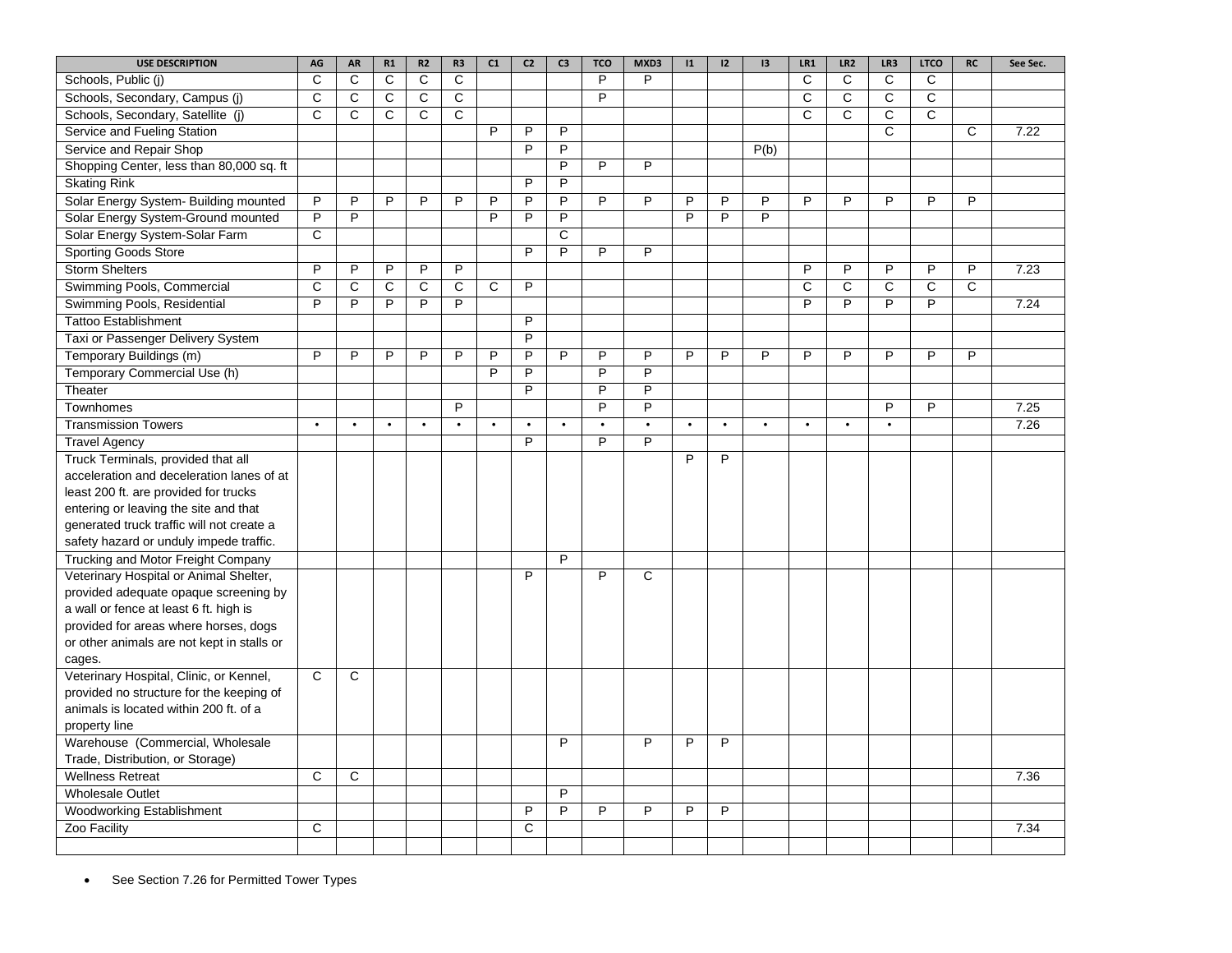| <b>USE DESCRIPTION</b>                                      | AG             | AR             | R1           | R <sub>2</sub> | R3             | C1             | C <sub>2</sub> | C <sub>3</sub> | <b>TCO</b>     | MXD3           | 1              | 12             | 3              | LR1          | LR2          | LR3          | <b>LTCO</b>    | RC           | See Sec. |
|-------------------------------------------------------------|----------------|----------------|--------------|----------------|----------------|----------------|----------------|----------------|----------------|----------------|----------------|----------------|----------------|--------------|--------------|--------------|----------------|--------------|----------|
| Schools, Public (i)                                         | $\mathsf{C}$   | C              | C            | C              | C              |                |                |                | P              | P              |                |                |                | C            | C            | C            | C              |              |          |
| Schools, Secondary, Campus (j)                              | C              | $\mathsf C$    | C            | C              | $\overline{c}$ |                |                |                | P              |                |                |                |                | $\mathbf C$  | $\mathsf{C}$ | C            | $\overline{c}$ |              |          |
| Schools, Secondary, Satellite (j)                           | C              | C              | C            | C              | C              |                |                |                |                |                |                |                |                | C            | C            | C            | $\mathbf C$    |              |          |
| Service and Fueling Station                                 |                |                |              |                |                | P              | P              | P              |                |                |                |                |                |              |              | $\mathsf{C}$ |                | $\mathbf C$  | 7.22     |
| Service and Repair Shop                                     |                |                |              |                |                |                | P              | P              |                |                |                |                | P(b)           |              |              |              |                |              |          |
| Shopping Center, less than 80,000 sq. ft                    |                |                |              |                |                |                |                | P              | P              | P              |                |                |                |              |              |              |                |              |          |
| <b>Skating Rink</b>                                         |                |                |              |                |                |                | P              | P              |                |                |                |                |                |              |              |              |                |              |          |
| Solar Energy System- Building mounted                       | P              | P              | P            | P              | P              | P              | P              | P              | P              | P              | P              | P              | P              | P            | P            | P            | P              | P            |          |
| Solar Energy System-Ground mounted                          | $\overline{P}$ | $\overline{P}$ |              |                |                | $\overline{P}$ | $\overline{P}$ | $\overline{P}$ |                |                | $\overline{P}$ | $\overline{P}$ | $\overline{P}$ |              |              |              |                |              |          |
| Solar Energy System-Solar Farm                              | C              |                |              |                |                |                |                | C              |                |                |                |                |                |              |              |              |                |              |          |
| <b>Sporting Goods Store</b>                                 |                |                |              |                |                |                | $\overline{P}$ | $\overline{P}$ | P              | $\overline{P}$ |                |                |                |              |              |              |                |              |          |
| <b>Storm Shelters</b>                                       | P              | P              | P            | P              | P              |                |                |                |                |                |                |                |                | P            | P            | P            | P              | P            | 7.23     |
| Swimming Pools, Commercial                                  | C              | $\mathsf{C}$   | $\mathsf{C}$ | $\mathsf{C}$   | $\overline{C}$ | $\mathsf{C}$   | P              |                |                |                |                |                |                | $\mathsf{C}$ | $\mathsf{C}$ | $\mathsf{C}$ | $\mathsf{C}$   | $\mathsf{C}$ |          |
| Swimming Pools, Residential                                 | P              | P              | P            | P              | P              |                |                |                |                |                |                |                |                | P            | P            | P            | P              |              | 7.24     |
| <b>Tattoo Establishment</b>                                 |                |                |              |                |                |                | P              |                |                |                |                |                |                |              |              |              |                |              |          |
| Taxi or Passenger Delivery System                           |                |                |              |                |                |                | P              |                |                |                |                |                |                |              |              |              |                |              |          |
| Temporary Buildings (m)                                     | P              | P              | P            | P              | P              | P              | P              | P              | P              | P              | P              | P              | P              | P            | P            | P            | P              | P            |          |
| Temporary Commercial Use (h)                                |                |                |              |                |                | $\overline{P}$ | $\overline{P}$ |                | $\overline{P}$ | $\overline{P}$ |                |                |                |              |              |              |                |              |          |
| Theater                                                     |                |                |              |                |                |                | P              |                | P              | P              |                |                |                |              |              |              |                |              |          |
| Townhomes                                                   |                |                |              |                | $\overline{P}$ |                |                |                | $\overline{P}$ | $\overline{P}$ |                |                |                |              |              | P            | $\overline{P}$ |              | 7.25     |
| <b>Transmission Towers</b>                                  | $\bullet$      | $\bullet$      | $\bullet$    | $\bullet$      | $\bullet$      | $\bullet$      | $\bullet$      | $\bullet$      | $\bullet$      | $\bullet$      | $\bullet$      | $\bullet$      | $\bullet$      | $\bullet$    | $\bullet$    | $\bullet$    |                |              | 7.26     |
| <b>Travel Agency</b>                                        |                |                |              |                |                |                | P              |                | P              | P              |                |                |                |              |              |              |                |              |          |
| Truck Terminals, provided that all                          |                |                |              |                |                |                |                |                |                |                | P              | P              |                |              |              |              |                |              |          |
| acceleration and deceleration lanes of at                   |                |                |              |                |                |                |                |                |                |                |                |                |                |              |              |              |                |              |          |
| least 200 ft. are provided for trucks                       |                |                |              |                |                |                |                |                |                |                |                |                |                |              |              |              |                |              |          |
| entering or leaving the site and that                       |                |                |              |                |                |                |                |                |                |                |                |                |                |              |              |              |                |              |          |
| generated truck traffic will not create a                   |                |                |              |                |                |                |                |                |                |                |                |                |                |              |              |              |                |              |          |
| safety hazard or unduly impede traffic.                     |                |                |              |                |                |                |                |                |                |                |                |                |                |              |              |              |                |              |          |
| Trucking and Motor Freight Company                          |                |                |              |                |                |                |                | P              |                |                |                |                |                |              |              |              |                |              |          |
| Veterinary Hospital or Animal Shelter,                      |                |                |              |                |                |                | $\overline{P}$ |                | P              | $\overline{C}$ |                |                |                |              |              |              |                |              |          |
| provided adequate opaque screening by                       |                |                |              |                |                |                |                |                |                |                |                |                |                |              |              |              |                |              |          |
| a wall or fence at least 6 ft. high is                      |                |                |              |                |                |                |                |                |                |                |                |                |                |              |              |              |                |              |          |
| provided for areas where horses, dogs                       |                |                |              |                |                |                |                |                |                |                |                |                |                |              |              |              |                |              |          |
| or other animals are not kept in stalls or                  |                |                |              |                |                |                |                |                |                |                |                |                |                |              |              |              |                |              |          |
| cages.                                                      |                |                |              |                |                |                |                |                |                |                |                |                |                |              |              |              |                |              |          |
| Veterinary Hospital, Clinic, or Kennel,                     | C              | C              |              |                |                |                |                |                |                |                |                |                |                |              |              |              |                |              |          |
| provided no structure for the keeping of                    |                |                |              |                |                |                |                |                |                |                |                |                |                |              |              |              |                |              |          |
| animals is located within 200 ft. of a                      |                |                |              |                |                |                |                |                |                |                |                |                |                |              |              |              |                |              |          |
| property line                                               |                |                |              |                |                |                |                | P              |                |                |                | P              |                |              |              |              |                |              |          |
| Warehouse (Commercial, Wholesale                            |                |                |              |                |                |                |                |                |                | P              | P              |                |                |              |              |              |                |              |          |
| Trade, Distribution, or Storage)<br><b>Wellness Retreat</b> | C              | C              |              |                |                |                |                |                |                |                |                |                |                |              |              |              |                |              | 7.36     |
|                                                             |                |                |              |                |                |                |                | P              |                |                |                |                |                |              |              |              |                |              |          |
| <b>Wholesale Outlet</b><br><b>Woodworking Establishment</b> |                |                |              |                |                |                | P              | P              | P              | P              | P              | P              |                |              |              |              |                |              |          |
|                                                             | C              |                |              |                |                |                | $\mathsf{C}$   |                |                |                |                |                |                |              |              |              |                |              | 7.34     |
| Zoo Facility                                                |                |                |              |                |                |                |                |                |                |                |                |                |                |              |              |              |                |              |          |
|                                                             |                |                |              |                |                |                |                |                |                |                |                |                |                |              |              |              |                |              |          |

• See Section 7.26 for Permitted Tower Types